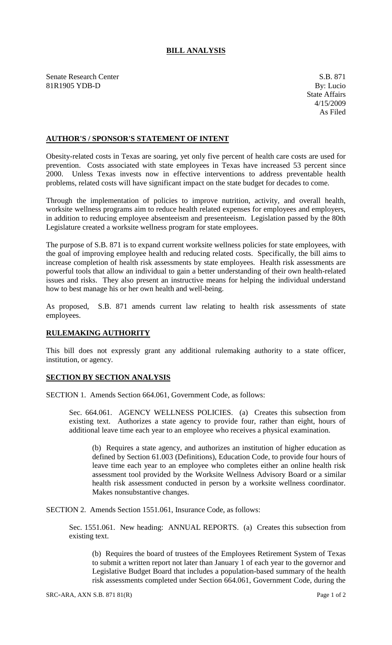## **BILL ANALYSIS**

Senate Research Center S.B. 871 81R1905 YDB-D By: Lucio

## **AUTHOR'S / SPONSOR'S STATEMENT OF INTENT**

Obesity-related costs in Texas are soaring, yet only five percent of health care costs are used for prevention. Costs associated with state employees in Texas have increased 53 percent since 2000. Unless Texas invests now in effective interventions to address preventable health problems, related costs will have significant impact on the state budget for decades to come.

Through the implementation of policies to improve nutrition, activity, and overall health, worksite wellness programs aim to reduce health related expenses for employees and employers, in addition to reducing employee absenteeism and presenteeism. Legislation passed by the 80th Legislature created a worksite wellness program for state employees.

The purpose of S.B. 871 is to expand current worksite wellness policies for state employees, with the goal of improving employee health and reducing related costs. Specifically, the bill aims to increase completion of health risk assessments by state employees. Health risk assessments are powerful tools that allow an individual to gain a better understanding of their own health-related issues and risks. They also present an instructive means for helping the individual understand how to best manage his or her own health and well-being.

As proposed, S.B. 871 amends current law relating to health risk assessments of state employees.

## **RULEMAKING AUTHORITY**

This bill does not expressly grant any additional rulemaking authority to a state officer, institution, or agency.

## **SECTION BY SECTION ANALYSIS**

SECTION 1. Amends Section 664.061, Government Code, as follows:

Sec. 664.061. AGENCY WELLNESS POLICIES. (a) Creates this subsection from existing text. Authorizes a state agency to provide four, rather than eight, hours of additional leave time each year to an employee who receives a physical examination.

(b) Requires a state agency, and authorizes an institution of higher education as defined by Section 61.003 (Definitions), Education Code, to provide four hours of leave time each year to an employee who completes either an online health risk assessment tool provided by the Worksite Wellness Advisory Board or a similar health risk assessment conducted in person by a worksite wellness coordinator. Makes nonsubstantive changes.

SECTION 2. Amends Section 1551.061, Insurance Code, as follows:

Sec. 1551.061. New heading: ANNUAL REPORTS. (a) Creates this subsection from existing text.

(b) Requires the board of trustees of the Employees Retirement System of Texas to submit a written report not later than January 1 of each year to the governor and Legislative Budget Board that includes a population-based summary of the health risk assessments completed under Section 664.061, Government Code, during the